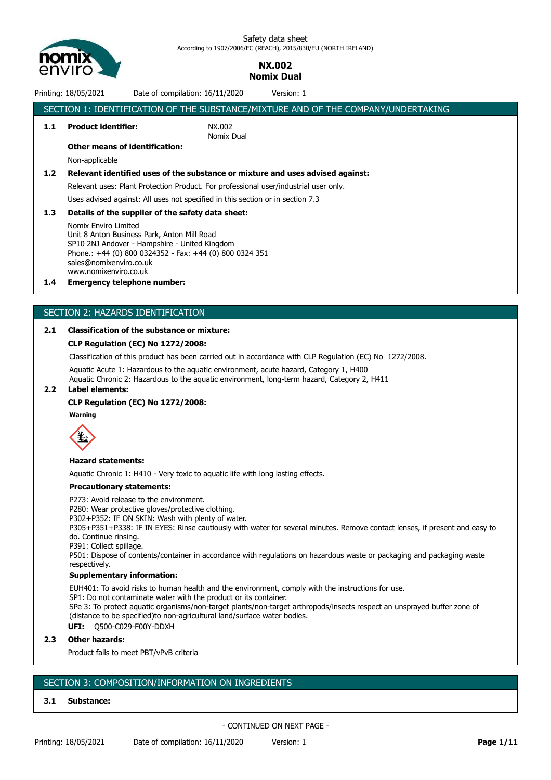

# **NX.002 Nomix Dual**

Printing: 18/05/2021 Date of compilation: 16/11/2020 Version: 1

|                  | SECTION 1: IDENTIFICATION OF THE SUBSTANCE/MIXTURE AND OF THE COMPANY/UNDERTAKING |                                                                                      |  |  |  |  |
|------------------|-----------------------------------------------------------------------------------|--------------------------------------------------------------------------------------|--|--|--|--|
| 1.1              | <b>Product identifier:</b>                                                        | NX.002<br>Nomix Dual                                                                 |  |  |  |  |
|                  | <b>Other means of identification:</b>                                             |                                                                                      |  |  |  |  |
|                  | Non-applicable                                                                    |                                                                                      |  |  |  |  |
| 1.2 <sub>1</sub> |                                                                                   | Relevant identified uses of the substance or mixture and uses advised against:       |  |  |  |  |
|                  |                                                                                   | Relevant uses: Plant Protection Product. For professional user/industrial user only. |  |  |  |  |
|                  |                                                                                   | Uses advised against: All uses not specified in this section or in section 7.3       |  |  |  |  |
| 1.3 <sub>2</sub> | Details of the supplier of the safety data sheet:                                 |                                                                                      |  |  |  |  |
|                  | Nomix Enviro Limited<br>Llnit & Anton Rusiness Park - Anton Mill Road -           |                                                                                      |  |  |  |  |

Unit 8 Anton Business Park, Anton Mill Road SP10 2NJ Andover - Hampshire - United Kingdom Phone.: +44 (0) 800 0324352 - Fax: +44 (0) 800 0324 351 sales@nomixenviro.co.uk www.nomixenviro.co.uk

### **1.4 Emergency telephone number:**

# SECTION 2: HAZARDS IDENTIFICATION

## **2.1 Classification of the substance or mixture:**

#### **CLP Regulation (EC) No 1272/2008:**

Classification of this product has been carried out in accordance with CLP Regulation (EC) No 1272/2008.

Aquatic Acute 1: Hazardous to the aquatic environment, acute hazard, Category 1, H400

Aquatic Chronic 2: Hazardous to the aquatic environment, long-term hazard, Category 2, H411 **2.2 Label elements:**

# **CLP Regulation (EC) No 1272/2008:**

# **Warning**



#### **Hazard statements:**

Aquatic Chronic 1: H410 - Very toxic to aquatic life with long lasting effects.

#### **Precautionary statements:**

P273: Avoid release to the environment.

P280: Wear protective gloves/protective clothing.

P302+P352: IF ON SKIN: Wash with plenty of water.

P305+P351+P338: IF IN EYES: Rinse cautiously with water for several minutes. Remove contact lenses, if present and easy to do. Continue rinsing.

P391: Collect spillage.

P501: Dispose of contents/container in accordance with regulations on hazardous waste or packaging and packaging waste respectively.

#### **Supplementary information:**

EUH401: To avoid risks to human health and the environment, comply with the instructions for use. SP1: Do not contaminate water with the product or its container. SPe 3: To protect aquatic organisms/non-target plants/non-target arthropods/insects respect an unsprayed buffer zone of (distance to be specified)to non-agricultural land/surface water bodies. **UFI:** Q500-C029-F00Y-DDXH

#### **2.3 Other hazards:**

Product fails to meet PBT/vPvB criteria

# SECTION 3: COMPOSITION/INFORMATION ON INGREDIENTS

### **3.1 Substance:**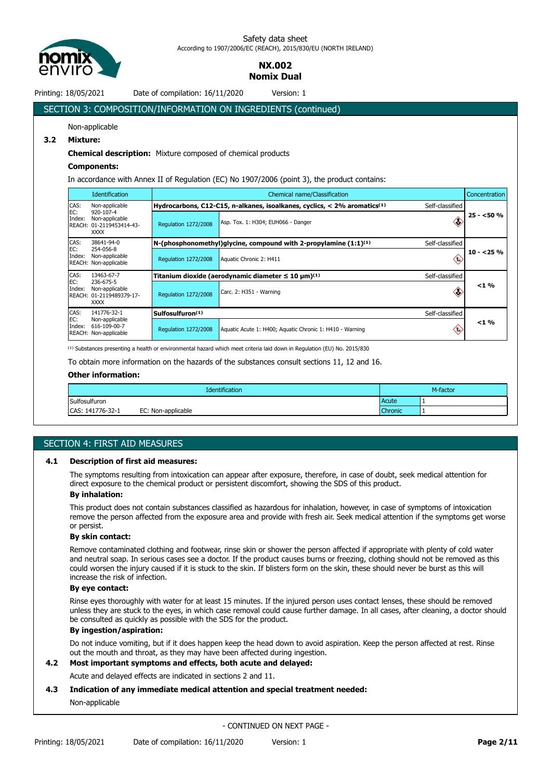

# **NX.002 Nomix Dual**

Printing: 18/05/2021 Date of compilation: 16/11/2020 Version: 1

# SECTION 3: COMPOSITION/INFORMATION ON INGREDIENTS (continued) Non-applicable **3.2 Mixture: Chemical description:** Mixture composed of chemical products **Components:** In accordance with Annex II of Regulation (EC) No 1907/2006 (point 3), the product contains:

|               | <b>Identification</b>                                                                    | Concentration<br>Chemical name/Classification                                               |                                                                                          |                                    |            |
|---------------|------------------------------------------------------------------------------------------|---------------------------------------------------------------------------------------------|------------------------------------------------------------------------------------------|------------------------------------|------------|
| CAS:          | Non-applicable<br>920-107-4<br>Non-applicable<br>REACH: 01-2119453414-43-<br><b>XXXX</b> | Hydrocarbons, C12-C15, n-alkanes, isoalkanes, cyclics, < 2% aromatics(1)<br>Self-classified |                                                                                          |                                    |            |
| EC:<br>Index: |                                                                                          | <b>Requlation 1272/2008</b>                                                                 | Asp. Tox. 1: H304; EUH066 - Danger                                                       | Ĝ,                                 | $25 - 50%$ |
| CAS:          | 38641-94-0                                                                               |                                                                                             | N-(phosphonomethyl)qlycine, compound with 2-propylamine $(1:1)^{(1)}$<br>Self-classified |                                    |            |
| EC:<br>Index: | 254-056-8<br>Non-applicable<br>REACH: Non-applicable                                     | Regulation 1272/2008                                                                        | Aquatic Chronic 2: H411                                                                  | ⇔                                  | $10 - 25%$ |
| CAS:          | 13463-67-7<br>236-675-5<br>Non-applicable<br>REACH: 01-2119489379-17-<br><b>XXXX</b>     |                                                                                             | Titanium dioxide (aerodynamic diameter $\leq 10 \ \mu m^{(1)}$<br>Self-classified        |                                    |            |
| EC:<br>Index: |                                                                                          | Regulation 1272/2008                                                                        | Carc. 2: H351 - Warning                                                                  | €                                  | $< 1 \%$   |
| CAS:          | 141776-32-1<br>Non-applicable<br>616-109-00-7<br>REACH: Non-applicable                   | Sulfosulfuron <sup>(1)</sup>                                                                | Self-classified                                                                          |                                    |            |
| EC:<br>Index: |                                                                                          | Regulation 1272/2008                                                                        | Aquatic Acute 1: H400; Aquatic Chronic 1: H410 - Warning                                 | $\left\langle \cdot \right\rangle$ | $< 1 \%$   |

<sup>(1)</sup> Substances presenting a health or environmental hazard which meet criteria laid down in Regulation (EU) No. 2015/830

To obtain more information on the hazards of the substances consult sections 11, 12 and 16.

# **Other information:**

| Identification   |                    |                | M-factor |  |
|------------------|--------------------|----------------|----------|--|
| Sulfosulfuron    |                    | Acute          |          |  |
| CAS: 141776-32-1 | EC: Non-applicable | <b>Chronic</b> |          |  |

# SECTION 4: FIRST AID MEASURES

# **4.1 Description of first aid measures:**

The symptoms resulting from intoxication can appear after exposure, therefore, in case of doubt, seek medical attention for direct exposure to the chemical product or persistent discomfort, showing the SDS of this product.

# **By inhalation:**

This product does not contain substances classified as hazardous for inhalation, however, in case of symptoms of intoxication remove the person affected from the exposure area and provide with fresh air. Seek medical attention if the symptoms get worse or persist.

### **By skin contact:**

Remove contaminated clothing and footwear, rinse skin or shower the person affected if appropriate with plenty of cold water and neutral soap. In serious cases see a doctor. If the product causes burns or freezing, clothing should not be removed as this could worsen the injury caused if it is stuck to the skin. If blisters form on the skin, these should never be burst as this will increase the risk of infection.

#### **By eye contact:**

Rinse eyes thoroughly with water for at least 15 minutes. If the injured person uses contact lenses, these should be removed unless they are stuck to the eyes, in which case removal could cause further damage. In all cases, after cleaning, a doctor should be consulted as quickly as possible with the SDS for the product.

## **By ingestion/aspiration:**

Do not induce vomiting, but if it does happen keep the head down to avoid aspiration. Keep the person affected at rest. Rinse out the mouth and throat, as they may have been affected during ingestion.

# **4.2 Most important symptoms and effects, both acute and delayed:**

Acute and delayed effects are indicated in sections 2 and 11.

### **4.3 Indication of any immediate medical attention and special treatment needed:**

### Non-applicable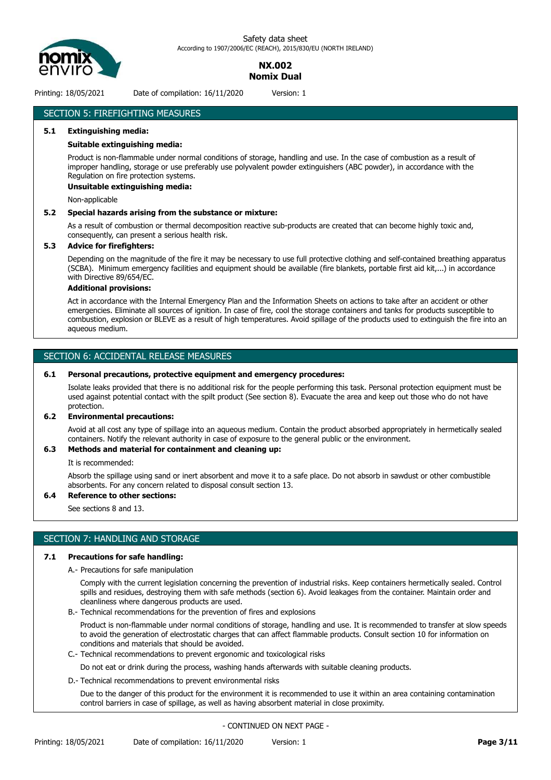

# **NX.002 Nomix Dual**

Printing: 18/05/2021 Date of compilation: 16/11/2020 Version: 1

# SECTION 5: FIREFIGHTING MEASURES

# **5.1 Extinguishing media:**

#### **Suitable extinguishing media:**

Product is non-flammable under normal conditions of storage, handling and use. In the case of combustion as a result of improper handling, storage or use preferably use polyvalent powder extinguishers (ABC powder), in accordance with the Regulation on fire protection systems.

#### **Unsuitable extinguishing media:**

Non-applicable

#### **5.2 Special hazards arising from the substance or mixture:**

As a result of combustion or thermal decomposition reactive sub-products are created that can become highly toxic and, consequently, can present a serious health risk.

#### **5.3 Advice for firefighters:**

Depending on the magnitude of the fire it may be necessary to use full protective clothing and self-contained breathing apparatus (SCBA). Minimum emergency facilities and equipment should be available (fire blankets, portable first aid kit,...) in accordance with Directive 89/654/EC.

#### **Additional provisions:**

Act in accordance with the Internal Emergency Plan and the Information Sheets on actions to take after an accident or other emergencies. Eliminate all sources of ignition. In case of fire, cool the storage containers and tanks for products susceptible to combustion, explosion or BLEVE as a result of high temperatures. Avoid spillage of the products used to extinguish the fire into an aqueous medium.

# SECTION 6: ACCIDENTAL RELEASE MEASURES

#### **6.1 Personal precautions, protective equipment and emergency procedures:**

Isolate leaks provided that there is no additional risk for the people performing this task. Personal protection equipment must be used against potential contact with the spilt product (See section 8). Evacuate the area and keep out those who do not have protection.

#### **6.2 Environmental precautions:**

Avoid at all cost any type of spillage into an aqueous medium. Contain the product absorbed appropriately in hermetically sealed containers. Notify the relevant authority in case of exposure to the general public or the environment.

#### **6.3 Methods and material for containment and cleaning up:**

It is recommended:

Absorb the spillage using sand or inert absorbent and move it to a safe place. Do not absorb in sawdust or other combustible absorbents. For any concern related to disposal consult section 13.

#### **6.4 Reference to other sections:**

See sections 8 and 13.

### SECTION 7: HANDLING AND STORAGE

#### **7.1 Precautions for safe handling:**

A.- Precautions for safe manipulation

Comply with the current legislation concerning the prevention of industrial risks. Keep containers hermetically sealed. Control spills and residues, destroying them with safe methods (section 6). Avoid leakages from the container. Maintain order and cleanliness where dangerous products are used.

B.- Technical recommendations for the prevention of fires and explosions

Product is non-flammable under normal conditions of storage, handling and use. It is recommended to transfer at slow speeds to avoid the generation of electrostatic charges that can affect flammable products. Consult section 10 for information on conditions and materials that should be avoided.

C.- Technical recommendations to prevent ergonomic and toxicological risks

Do not eat or drink during the process, washing hands afterwards with suitable cleaning products.

D.- Technical recommendations to prevent environmental risks

Due to the danger of this product for the environment it is recommended to use it within an area containing contamination control barriers in case of spillage, as well as having absorbent material in close proximity.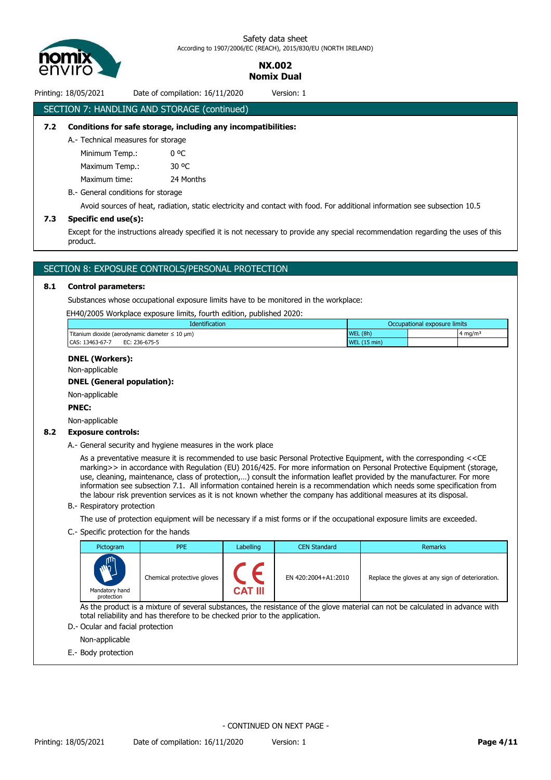

> **NX.002 Nomix Dual**

# Printing: 18/05/2021 Date of compilation: 16/11/2020 Version: 1 SECTION 7: HANDLING AND STORAGE (continued)

# **7.2 Conditions for safe storage, including any incompatibilities:**

A.- Technical measures for storage

Minimum Temp.: 0 °C Maximum Temp.: 30 °C

Maximum time: 24 Months

B.- General conditions for storage

Avoid sources of heat, radiation, static electricity and contact with food. For additional information see subsection 10.5

#### **7.3 Specific end use(s):**

Except for the instructions already specified it is not necessary to provide any special recommendation regarding the uses of this product.

# SECTION 8: EXPOSURE CONTROLS/PERSONAL PROTECTION

### **8.1 Control parameters:**

Substances whose occupational exposure limits have to be monitored in the workplace:

EH40/2005 Workplace exposure limits, fourth edition, published 2020:

| Identification                                           | Occupational exposure limits     |        |  |
|----------------------------------------------------------|----------------------------------|--------|--|
| Titanium dioxide (aerodynamic diameter $\leq 10 \mu m$ ) | (8h)<br><b>WEL</b>               | ⊦mg/mª |  |
| CAS: 13463-67-7<br>EC: 236-675-5                         | $(15 \text{ min})$<br><b>WEL</b> |        |  |

# **DNEL (Workers):**

Non-applicable

### **DNEL (General population):**

Non-applicable

#### **PNEC:**

Non-applicable

#### **8.2 Exposure controls:**

A.- General security and hygiene measures in the work place

As a preventative measure it is recommended to use basic Personal Protective Equipment, with the corresponding <<CE marking>> in accordance with Regulation (EU) 2016/425. For more information on Personal Protective Equipment (storage, use, cleaning, maintenance, class of protection,…) consult the information leaflet provided by the manufacturer. For more information see subsection 7.1. All information contained herein is a recommendation which needs some specification from the labour risk prevention services as it is not known whether the company has additional measures at its disposal.

B.- Respiratory protection

The use of protection equipment will be necessary if a mist forms or if the occupational exposure limits are exceeded.

#### C.- Specific protection for the hands

| Pictogram                                                                                                                     | <b>PPE</b>                 | Labelling      | <b>CEN Standard</b> | <b>Remarks</b>                                   |  |  |  |
|-------------------------------------------------------------------------------------------------------------------------------|----------------------------|----------------|---------------------|--------------------------------------------------|--|--|--|
| <b>M</b> <sub>2</sub><br>Mandatory hand<br>protection                                                                         | Chemical protective gloves | <b>CAT III</b> | EN 420:2004+A1:2010 | Replace the gloves at any sign of deterioration. |  |  |  |
| As the product is a mixture of several substances, the resistance of the glove material can not be calculated in advance with |                            |                |                     |                                                  |  |  |  |
| total reliability and has therefore to be checked prior to the application.                                                   |                            |                |                     |                                                  |  |  |  |

D.- Ocular and facial protection

Non-applicable

E.- Body protection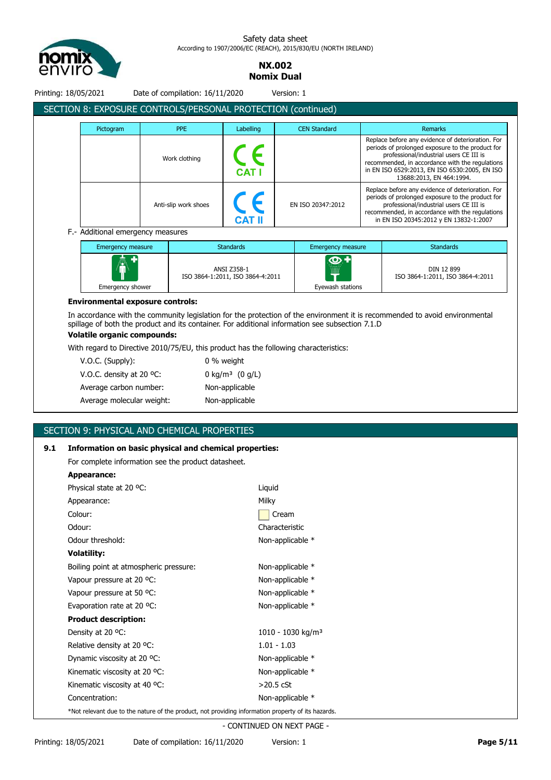

> **NX.002 Nomix Dual**

Printing: 18/05/2021 Date of compilation: 16/11/2020 Version: 1

|           | SECTION 8: EXPOSURE CONTROLS/PERSONAL PROTECTION (continued) |               |                     |                                                                                                                                                                                                                                                                                  |
|-----------|--------------------------------------------------------------|---------------|---------------------|----------------------------------------------------------------------------------------------------------------------------------------------------------------------------------------------------------------------------------------------------------------------------------|
| Pictogram | <b>PPE</b>                                                   | Labelling     | <b>CEN Standard</b> | <b>Remarks</b>                                                                                                                                                                                                                                                                   |
|           | Work clothing                                                | <b>CAT I</b>  |                     | Replace before any evidence of deterioration. For<br>periods of prolonged exposure to the product for<br>professional/industrial users CE III is<br>recommended, in accordance with the regulations<br>in EN ISO 6529:2013, EN ISO 6530:2005, EN ISO<br>13688:2013, EN 464:1994. |
|           | Anti-slip work shoes                                         | <b>CAT II</b> | EN ISO 20347:2012   | Replace before any evidence of deterioration. For<br>periods of prolonged exposure to the product for<br>professional/industrial users CE III is<br>recommended, in accordance with the regulations<br>in EN ISO 20345:2012 y EN 13832-1:2007                                    |

| <b>Emergency measure</b> | <b>Standards</b>                                | Emergency measure                           | <b>Standards</b>                               |
|--------------------------|-------------------------------------------------|---------------------------------------------|------------------------------------------------|
| Â<br>Emergency shower    | ANSI Z358-1<br>ISO 3864-1:2011, ISO 3864-4:2011 | $\circ$ +<br><br><br>mm<br>Eyewash stations | DIN 12 899<br>ISO 3864-1:2011, ISO 3864-4:2011 |

#### **Environmental exposure controls:**

In accordance with the community legislation for the protection of the environment it is recommended to avoid environmental spillage of both the product and its container. For additional information see subsection 7.1.D

# **Volatile organic compounds:**

With regard to Directive 2010/75/EU, this product has the following characteristics:

| $V.O.C.$ (Supply):        | 0 % weight                    |
|---------------------------|-------------------------------|
| V.O.C. density at 20 °C.  | 0 kg/m <sup>3</sup> $(0 g/L)$ |
| Average carbon number:    | Non-applicable                |
| Average molecular weight: | Non-applicable                |

# SECTION 9: PHYSICAL AND CHEMICAL PROPERTIES

# **9.1 Information on basic physical and chemical properties:**

For complete information see the product datasheet.

| Appearance:                                                                                        |                               |  |  |  |  |  |
|----------------------------------------------------------------------------------------------------|-------------------------------|--|--|--|--|--|
| Physical state at 20 °C:                                                                           | Liquid                        |  |  |  |  |  |
| Appearance:                                                                                        | Milky                         |  |  |  |  |  |
| Colour:                                                                                            | Cream                         |  |  |  |  |  |
| Odour:                                                                                             | Characteristic                |  |  |  |  |  |
| Odour threshold:                                                                                   | Non-applicable *              |  |  |  |  |  |
| <b>Volatility:</b>                                                                                 |                               |  |  |  |  |  |
| Boiling point at atmospheric pressure:                                                             | Non-applicable *              |  |  |  |  |  |
| Vapour pressure at 20 °C:                                                                          | Non-applicable *              |  |  |  |  |  |
| Vapour pressure at 50 °C:                                                                          | Non-applicable *              |  |  |  |  |  |
| Evaporation rate at 20 °C:                                                                         | Non-applicable *              |  |  |  |  |  |
| <b>Product description:</b>                                                                        |                               |  |  |  |  |  |
| Density at 20 °C:                                                                                  | 1010 - 1030 kg/m <sup>3</sup> |  |  |  |  |  |
| Relative density at 20 °C.                                                                         | $1.01 - 1.03$                 |  |  |  |  |  |
| Dynamic viscosity at 20 °C:                                                                        | Non-applicable *              |  |  |  |  |  |
| Kinematic viscosity at 20 °C:                                                                      | Non-applicable *              |  |  |  |  |  |
| Kinematic viscosity at 40 °C:                                                                      | $>20.5$ cSt                   |  |  |  |  |  |
| Concentration:                                                                                     | Non-applicable *              |  |  |  |  |  |
| *Not relevant due to the nature of the product, not providing information property of its hazards. |                               |  |  |  |  |  |
|                                                                                                    | $\overline{O}$                |  |  |  |  |  |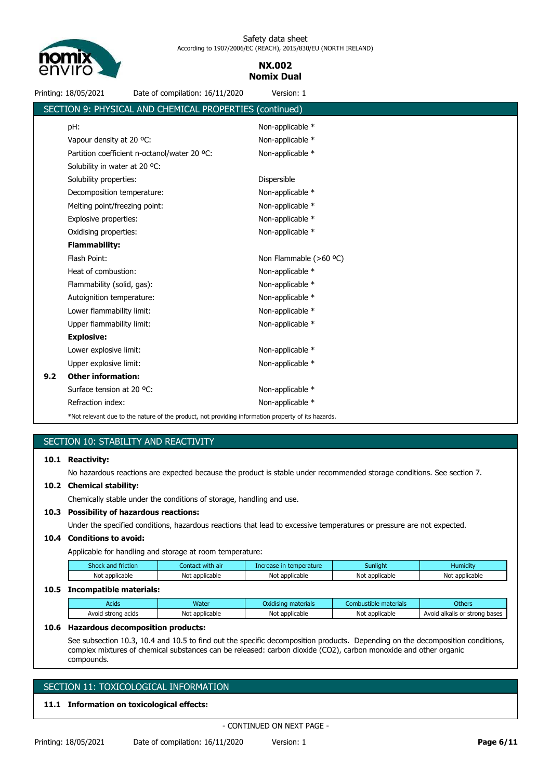

# **NX.002 Nomix Dual**

Printing: 18/05/2021 Date of compilation: 16/11/2020 Version: 1

|     | SECTION 9: PHYSICAL AND CHEMICAL PROPERTIES (continued)                                            |                          |
|-----|----------------------------------------------------------------------------------------------------|--------------------------|
|     | pH:                                                                                                | Non-applicable *         |
|     | Vapour density at 20 °C:                                                                           | Non-applicable *         |
|     | Partition coefficient n-octanol/water 20 °C:                                                       | Non-applicable *         |
|     | Solubility in water at 20 °C:                                                                      |                          |
|     | Solubility properties:                                                                             | Dispersible              |
|     | Decomposition temperature:                                                                         | Non-applicable *         |
|     | Melting point/freezing point:                                                                      | Non-applicable *         |
|     | Explosive properties:                                                                              | Non-applicable *         |
|     | Oxidising properties:                                                                              | Non-applicable *         |
|     | <b>Flammability:</b>                                                                               |                          |
|     | Flash Point:                                                                                       | Non Flammable $(>60$ °C) |
|     | Heat of combustion:                                                                                | Non-applicable *         |
|     | Flammability (solid, gas):                                                                         | Non-applicable *         |
|     | Autoignition temperature:                                                                          | Non-applicable *         |
|     | Lower flammability limit:                                                                          | Non-applicable *         |
|     | Upper flammability limit:                                                                          | Non-applicable *         |
|     | <b>Explosive:</b>                                                                                  |                          |
|     | Lower explosive limit:                                                                             | Non-applicable *         |
|     | Upper explosive limit:                                                                             | Non-applicable *         |
| 9.2 | <b>Other information:</b>                                                                          |                          |
|     | Surface tension at 20 °C:                                                                          | Non-applicable *         |
|     | Refraction index:                                                                                  | Non-applicable *         |
|     | *Not relevant due to the nature of the product, not providing information property of its hazards. |                          |

# SECTION 10: STABILITY AND REACTIVITY

#### **10.1 Reactivity:**

No hazardous reactions are expected because the product is stable under recommended storage conditions. See section 7.

# **10.2 Chemical stability:**

Chemically stable under the conditions of storage, handling and use.

#### **10.3 Possibility of hazardous reactions:**

Under the specified conditions, hazardous reactions that lead to excessive temperatures or pressure are not expected.

## **10.4 Conditions to avoid:**

Applicable for handling and storage at room temperature:

| Shock and friction | Contact with air | Increase in temperature | Sunliaht       | <b>Humidity</b> |
|--------------------|------------------|-------------------------|----------------|-----------------|
| Not applicable     | Not applicable   | Not applicable          | Not applicable | Not applicable  |
|                    |                  |                         |                |                 |

# **10.5 Incompatible materials:**

| ---------------------------- |                |                     |                       |                               |  |  |  |  |  |
|------------------------------|----------------|---------------------|-----------------------|-------------------------------|--|--|--|--|--|
| Acids                        | Water          | Oxidising materials | Combustible materials | <b>Others</b>                 |  |  |  |  |  |
| Avoid strong acids           | Not applicable | Not applicable      | Not applicable        | Avoid alkalis or strong bases |  |  |  |  |  |

## **10.6 Hazardous decomposition products:**

See subsection 10.3, 10.4 and 10.5 to find out the specific decomposition products. Depending on the decomposition conditions, complex mixtures of chemical substances can be released: carbon dioxide (CO2), carbon monoxide and other organic compounds.

# SECTION 11: TOXICOLOGICAL INFORMATION

## **11.1 Information on toxicological effects:**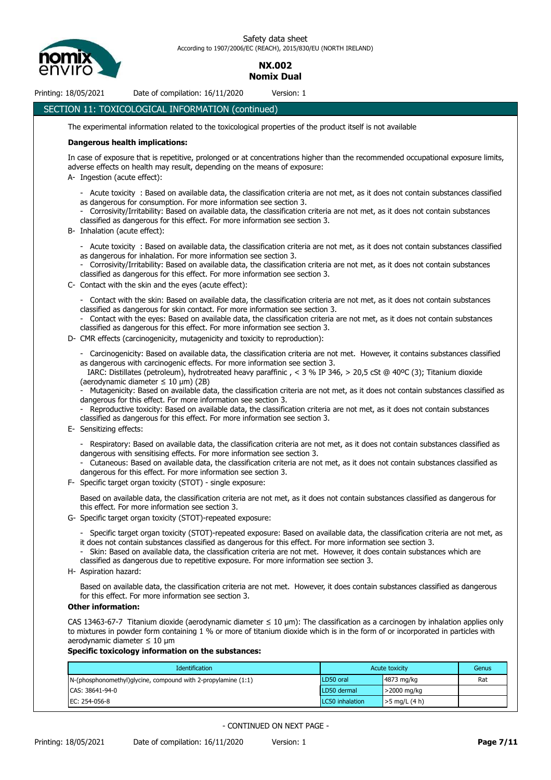

# **NX.002 Nomix Dual**

Printing: 18/05/2021 Date of compilation: 16/11/2020 Version: 1

# SECTION 11: TOXICOLOGICAL INFORMATION (continued)

The experimental information related to the toxicological properties of the product itself is not available

#### **Dangerous health implications:**

In case of exposure that is repetitive, prolonged or at concentrations higher than the recommended occupational exposure limits, adverse effects on health may result, depending on the means of exposure:

- A- Ingestion (acute effect):
	- Acute toxicity : Based on available data, the classification criteria are not met, as it does not contain substances classified as dangerous for consumption. For more information see section 3.
	- Corrosivity/Irritability: Based on available data, the classification criteria are not met, as it does not contain substances classified as dangerous for this effect. For more information see section 3.
- B- Inhalation (acute effect):
	- Acute toxicity : Based on available data, the classification criteria are not met, as it does not contain substances classified as dangerous for inhalation. For more information see section 3.
	- Corrosivity/Irritability: Based on available data, the classification criteria are not met, as it does not contain substances classified as dangerous for this effect. For more information see section 3.
- C- Contact with the skin and the eyes (acute effect):
	- Contact with the skin: Based on available data, the classification criteria are not met, as it does not contain substances classified as dangerous for skin contact. For more information see section 3.
	- Contact with the eyes: Based on available data, the classification criteria are not met, as it does not contain substances classified as dangerous for this effect. For more information see section 3.
- D- CMR effects (carcinogenicity, mutagenicity and toxicity to reproduction):
	- Carcinogenicity: Based on available data, the classification criteria are not met. However, it contains substances classified as dangerous with carcinogenic effects. For more information see section 3.

 IARC: Distillates (petroleum), hydrotreated heavy paraffinic , < 3 % IP 346, > 20,5 cSt @ 40ºC (3); Titanium dioxide (aerodynamic diameter  $\leq$  10 µm) (2B)

- Mutagenicity: Based on available data, the classification criteria are not met, as it does not contain substances classified as dangerous for this effect. For more information see section 3.

- Reproductive toxicity: Based on available data, the classification criteria are not met, as it does not contain substances classified as dangerous for this effect. For more information see section 3.
- E- Sensitizing effects:
	- Respiratory: Based on available data, the classification criteria are not met, as it does not contain substances classified as dangerous with sensitising effects. For more information see section 3.
	- Cutaneous: Based on available data, the classification criteria are not met, as it does not contain substances classified as dangerous for this effect. For more information see section 3.
- F- Specific target organ toxicity (STOT) single exposure:

Based on available data, the classification criteria are not met, as it does not contain substances classified as dangerous for this effect. For more information see section 3.

- G- Specific target organ toxicity (STOT)-repeated exposure:
	- Specific target organ toxicity (STOT)-repeated exposure: Based on available data, the classification criteria are not met, as it does not contain substances classified as dangerous for this effect. For more information see section 3.
	- Skin: Based on available data, the classification criteria are not met. However, it does contain substances which are classified as dangerous due to repetitive exposure. For more information see section 3.
- H- Aspiration hazard:

Based on available data, the classification criteria are not met. However, it does contain substances classified as dangerous for this effect. For more information see section 3.

#### **Other information:**

CAS 13463-67-7 Titanium dioxide (aerodynamic diameter ≤ 10 μm): The classification as a carcinogen by inhalation applies only to mixtures in powder form containing 1 % or more of titanium dioxide which is in the form of or incorporated in particles with aerodynamic diameter ≤ 10 μm

# **Specific toxicology information on the substances:**

| Identification<br>Acute toxicity                                   |                        | Genus           |     |
|--------------------------------------------------------------------|------------------------|-----------------|-----|
| $N$ -(phosphonomethyl)glycine, compound with 2-propylamine $(1:1)$ | LD50 oral              | 4873 mg/kg      | Rat |
| CAS: 38641-94-0                                                    | LD50 dermal            | >2000 mg/kg     |     |
| EC: 254-056-8                                                      | <b>LC50</b> inhalation | $>5$ mg/L (4 h) |     |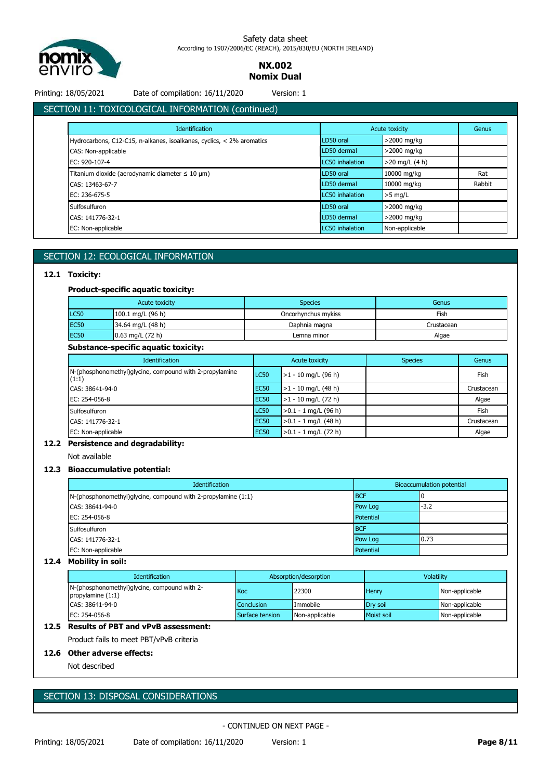

# **NX.002 Nomix Dual**

Printing: 18/05/2021 Date of compilation: 16/11/2020 Version: 1

# SECTION 11: TOXICOLOGICAL INFORMATION (continued)

| <b>Identification</b>                                                  |                 | Acute toxicity   |        |
|------------------------------------------------------------------------|-----------------|------------------|--------|
| Hydrocarbons, C12-C15, n-alkanes, isoalkanes, cyclics, < 2% aromatics  | LD50 oral       | $>$ 2000 mg/kg   |        |
| CAS: Non-applicable                                                    | LD50 dermal     | >2000 mg/kg      |        |
| EC: 920-107-4                                                          | LC50 inhalation | $>20$ mg/L (4 h) |        |
| Titanium dioxide (aerodynamic diameter $\leq 10 \text{ }\mu\text{m}$ ) | LD50 oral       | 10000 mg/kg      | Rat    |
| CAS: 13463-67-7                                                        | LD50 dermal     | 10000 mg/kg      | Rabbit |
| EC: 236-675-5                                                          | LC50 inhalation | $>5$ mg/L        |        |
| Sulfosulfuron                                                          | LD50 oral       | $>$ 2000 mg/kg   |        |
| CAS: 141776-32-1                                                       | LD50 dermal     | >2000 mg/kg      |        |
| EC: Non-applicable                                                     | LC50 inhalation | Non-applicable   |        |

# SECTION 12: ECOLOGICAL INFORMATION

# **12.1 Toxicity:**

# **Product-specific aquatic toxicity:**

| Acute toxicity |                    | <b>Species</b>      | Genus      |
|----------------|--------------------|---------------------|------------|
| <b>LC50</b>    | 100.1 mg/L (96 h)  | Oncorhynchus mykiss | Fish       |
| <b>EC50</b>    | 34.64 mg/L (48 h)  | Daphnia magna       | Crustacean |
| <b>EC50</b>    | $0.63$ mg/L (72 h) | Lemna minor         | Algae      |

# **Substance-specific aquatic toxicity:**

| <b>Identification</b>                                            |                  | Acute toxicity         | <b>Species</b> | Genus      |
|------------------------------------------------------------------|------------------|------------------------|----------------|------------|
| N-(phosphonomethyl)glycine, compound with 2-propylamine<br>(1:1) | LC50             | $>1 - 10$ mg/L (96 h)  |                | Fish       |
| CAS: 38641-94-0                                                  | <b>EC50</b>      | $>1 - 10$ mg/L (48 h)  |                | Crustacean |
| EC: 254-056-8                                                    | EC <sub>50</sub> | $>1 - 10$ mg/L (72 h)  |                | Algae      |
| Sulfosulfuron                                                    | LC50             | $>0.1 - 1$ mg/L (96 h) |                | Fish       |
| CAS: 141776-32-1                                                 | <b>EC50</b>      | $>0.1 - 1$ mg/L (48 h) |                | Crustacean |
| EC: Non-applicable                                               | <b>EC50</b>      | $>0.1 - 1$ mg/L (72 h) |                | Algae      |

# **12.2 Persistence and degradability:**

Not available

# **12.3 Bioaccumulative potential:**

| <b>Identification</b>                                         | Bioaccumulation potential |        |  |
|---------------------------------------------------------------|---------------------------|--------|--|
| N-(phosphonomethyl)glycine, compound with 2-propylamine (1:1) | <b>BCF</b>                |        |  |
| CAS: 38641-94-0                                               | Pow Log                   | $-3.2$ |  |
| EC: 254-056-8                                                 | Potential                 |        |  |
| Sulfosulfuron                                                 | <b>BCF</b>                |        |  |
| CAS: 141776-32-1                                              | Pow Log                   | 0.73   |  |
| EC: Non-applicable                                            | Potential                 |        |  |

# **12.4 Mobility in soil:**

| <b>Identification</b>                                               | Absorption/desorption |                | <b>Volatility</b> |                |
|---------------------------------------------------------------------|-----------------------|----------------|-------------------|----------------|
| N-(phosphonomethyl)glycine, compound with 2-<br>propylamine $(1:1)$ | Koc.                  | 22300          | Henry             | Non-applicable |
| CAS: 38641-94-0                                                     | <b>Conclusion</b>     | Immobile       | Drv soil          | Non-applicable |
| EC: 254-056-8                                                       | Surface tension       | Non-applicable | Moist soil        | Non-applicable |

# **12.5 Results of PBT and vPvB assessment:**

Product fails to meet PBT/vPvB criteria

# **12.6 Other adverse effects:**

Not described

# SECTION 13: DISPOSAL CONSIDERATIONS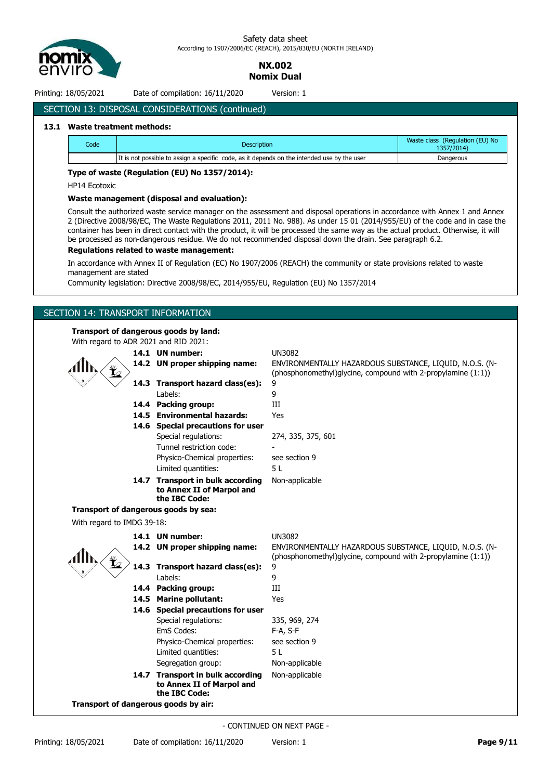

> **NX.002 Nomix Dual**

Printing: 18/05/2021 Date of compilation: 16/11/2020 Version: 1

# SECTION 13: DISPOSAL CONSIDERATIONS (continued)

### **13.1 Waste treatment methods:**

| Code | <b>Description</b>                                                                          | Waste class (Regulation (EU) No<br>1357/2014) |
|------|---------------------------------------------------------------------------------------------|-----------------------------------------------|
|      | It is not possible to assign a specific code, as it depends on the intended use by the user | Dangerous                                     |

# **Type of waste (Regulation (EU) No 1357/2014):**

HP14 Ecotoxic

#### **Waste management (disposal and evaluation):**

Consult the authorized waste service manager on the assessment and disposal operations in accordance with Annex 1 and Annex 2 (Directive 2008/98/EC, The Waste Regulations 2011, 2011 No. 988). As under 15 01 (2014/955/EU) of the code and in case the container has been in direct contact with the product, it will be processed the same way as the actual product. Otherwise, it will be processed as non-dangerous residue. We do not recommended disposal down the drain. See paragraph 6.2.

## **Regulations related to waste management:**

In accordance with Annex II of Regulation (EC) No 1907/2006 (REACH) the community or state provisions related to waste management are stated

Community legislation: Directive 2008/98/EC, 2014/955/EU, Regulation (EU) No 1357/2014

# SECTION 14: TRANSPORT INFORMATION

# **Transport of dangerous goods by land:**

| With regard to ADR 2021 and RID 2021: |                                                                                                                        |                                                                                                                          |
|---------------------------------------|------------------------------------------------------------------------------------------------------------------------|--------------------------------------------------------------------------------------------------------------------------|
|                                       | 14.1 UN number:                                                                                                        | <b>UN3082</b>                                                                                                            |
|                                       | 14.2 UN proper shipping name:                                                                                          | ENVIRONMENTALLY HAZARDOUS SUBSTANCE, LIQUID, N.O.S. (N-<br>(phosphonomethyl)glycine, compound with 2-propylamine (1:1))  |
|                                       | 14.3 Transport hazard class(es):                                                                                       | 9                                                                                                                        |
|                                       | Labels:                                                                                                                | 9                                                                                                                        |
|                                       | 14.4 Packing group:                                                                                                    | III                                                                                                                      |
|                                       | 14.5 Environmental hazards:                                                                                            | Yes                                                                                                                      |
|                                       | 14.6 Special precautions for user                                                                                      |                                                                                                                          |
|                                       | Special regulations:                                                                                                   | 274, 335, 375, 601                                                                                                       |
|                                       | Tunnel restriction code:                                                                                               |                                                                                                                          |
|                                       | Physico-Chemical properties:                                                                                           | see section 9                                                                                                            |
|                                       | Limited quantities:                                                                                                    | 5L                                                                                                                       |
|                                       | 14.7 Transport in bulk according<br>to Annex II of Marpol and<br>the IBC Code:                                         | Non-applicable                                                                                                           |
|                                       | Transport of dangerous goods by sea:                                                                                   |                                                                                                                          |
| With regard to IMDG 39-18:            |                                                                                                                        |                                                                                                                          |
|                                       |                                                                                                                        |                                                                                                                          |
|                                       |                                                                                                                        |                                                                                                                          |
|                                       | 14.1 UN number:                                                                                                        | <b>UN3082</b>                                                                                                            |
|                                       | 14.2 UN proper shipping name:                                                                                          | ENVIRONMENTALLY HAZARDOUS SUBSTANCE, LIQUID, N.O.S. (N-<br>(phosphonomethyl) glycine, compound with 2-propylamine (1:1)) |
|                                       | 14.3 Transport hazard class(es):                                                                                       | 9                                                                                                                        |
|                                       | Labels:                                                                                                                | 9                                                                                                                        |
|                                       | 14.4 Packing group:                                                                                                    | III                                                                                                                      |
|                                       | 14.5 Marine pollutant:                                                                                                 | Yes                                                                                                                      |
|                                       | 14.6 Special precautions for user                                                                                      |                                                                                                                          |
|                                       | Special regulations:                                                                                                   | 335, 969, 274                                                                                                            |
|                                       | EmS Codes:                                                                                                             | F-A, S-F                                                                                                                 |
|                                       | Physico-Chemical properties:                                                                                           | see section 9                                                                                                            |
|                                       | Limited quantities:                                                                                                    | 5L                                                                                                                       |
|                                       | Segregation group:                                                                                                     | Non-applicable                                                                                                           |
|                                       | 14.7 Transport in bulk according<br>to Annex II of Marpol and<br>the IBC Code:<br>Transport of dangerous goods by air: | Non-applicable                                                                                                           |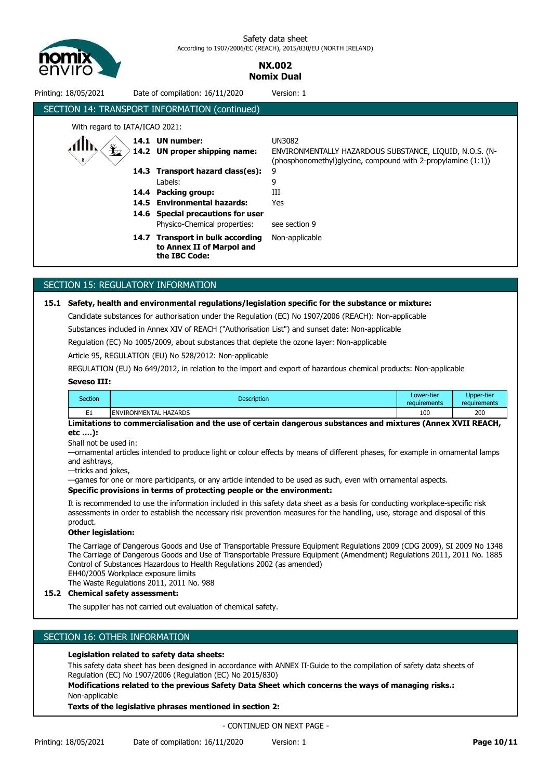

# **NX.002 Nomix Dual**

| ENVIRONMENTALLY HAZARDOUS SUBSTANCE, LIQUID, N.O.S. (N-<br>(phosphonomethyl) glycine, compound with 2-propylamine $(1:1)$ ) |
|-----------------------------------------------------------------------------------------------------------------------------|
|                                                                                                                             |
|                                                                                                                             |
|                                                                                                                             |
|                                                                                                                             |

# SECTION 15: REGULATORY INFORMATION

### **15.1 Safety, health and environmental regulations/legislation specific for the substance or mixture:**

Candidate substances for authorisation under the Regulation (EC) No 1907/2006 (REACH): Non-applicable

Substances included in Annex XIV of REACH ("Authorisation List") and sunset date: Non-applicable

Regulation (EC) No 1005/2009, about substances that deplete the ozone layer: Non-applicable

Article 95, REGULATION (EU) No 528/2012: Non-applicable

REGULATION (EU) No 649/2012, in relation to the import and export of hazardous chemical products: Non-applicable

## **Seveso III:**

| Section  | <b>Description</b>           | Lower-tier<br>requirements | Upper-tier<br>requirements |
|----------|------------------------------|----------------------------|----------------------------|
| - 4<br>∸ | <b>ENVIRONMENTAL HAZARDS</b> | 100                        | 200                        |
| -- -- -- | .<br>- -<br>.<br>- -         | $\sim$ $\sim$<br>$\sim$    | ----------                 |

**Limitations to commercialisation and the use of certain dangerous substances and mixtures (Annex XVII REACH, etc ….):**

Shall not be used in:

—ornamental articles intended to produce light or colour effects by means of different phases, for example in ornamental lamps and ashtrays,

—tricks and jokes,

—games for one or more participants, or any article intended to be used as such, even with ornamental aspects.

#### **Specific provisions in terms of protecting people or the environment:**

It is recommended to use the information included in this safety data sheet as a basis for conducting workplace-specific risk assessments in order to establish the necessary risk prevention measures for the handling, use, storage and disposal of this product.

### **Other legislation:**

The Carriage of Dangerous Goods and Use of Transportable Pressure Equipment Regulations 2009 (CDG 2009), SI 2009 No 1348 The Carriage of Dangerous Goods and Use of Transportable Pressure Equipment (Amendment) Regulations 2011, 2011 No. 1885 Control of Substances Hazardous to Health Regulations 2002 (as amended)

EH40/2005 Workplace exposure limits

The Waste Regulations 2011, 2011 No. 988

# **15.2 Chemical safety assessment:**

The supplier has not carried out evaluation of chemical safety.

# SECTION 16: OTHER INFORMATION

# **Legislation related to safety data sheets:**

This safety data sheet has been designed in accordance with ANNEX II-Guide to the compilation of safety data sheets of Regulation (EC) No 1907/2006 (Regulation (EC) No 2015/830)

**Modifications related to the previous Safety Data Sheet which concerns the ways of managing risks.:** Non-applicable

**Texts of the legislative phrases mentioned in section 2:**